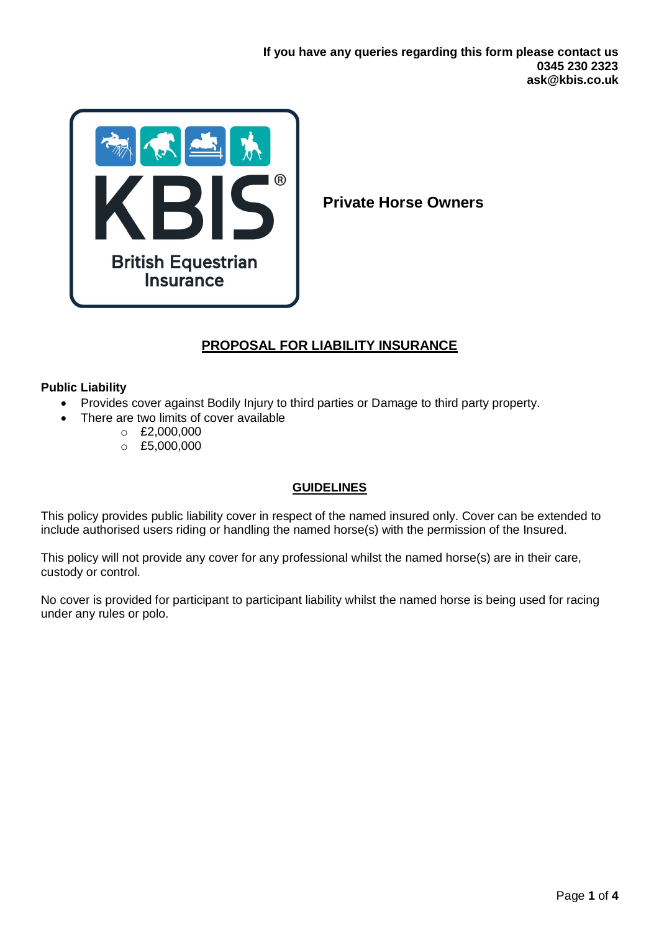

**Private Horse Owners** 

# **PROPOSAL FOR LIABILITY INSURANCE**

### **Public Liability**

- Provides cover against Bodily Injury to third parties or Damage to third party property.
- There are two limits of cover available
	- $C = £2,000,000$
	- $O E5,000,000$

## **GUIDELINES**

This policy provides public liability cover in respect of the named insured only. Cover can be extended to include authorised users riding or handling the named horse(s) with the permission of the Insured.

This policy will not provide any cover for any professional whilst the named horse(s) are in their care, custody or control.

No cover is provided for participant to participant liability whilst the named horse is being used for racing under any rules or polo.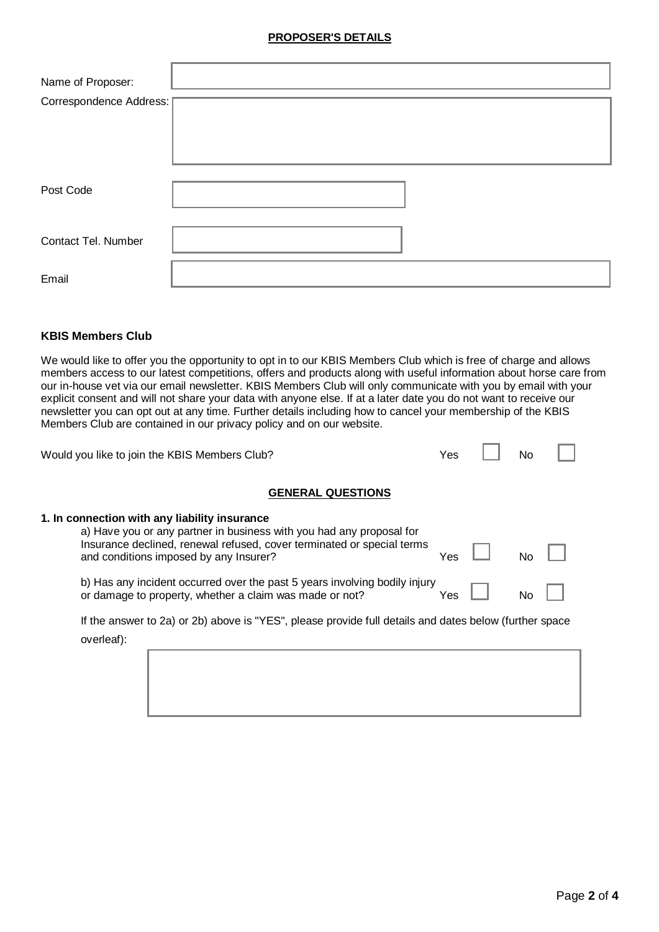### **PROPOSER'S DETAILS**

| Name of Proposer:       |  |
|-------------------------|--|
| Correspondence Address: |  |
| Post Code               |  |
| Contact Tel. Number     |  |
| Email                   |  |

#### **KBIS Members Club**

We would like to offer you the opportunity to opt in to our KBIS Members Club which is free of charge and allows members access to our latest competitions, offers and products along with useful information about horse care from our in-house vet via our email newsletter. KBIS Members Club will only communicate with you by email with your explicit consent and will not share your data with anyone else. If at a later date you do not want to receive our newsletter you can opt out at any time. Further details including how to cancel your membership of the KBIS Members Club are contained in our privacy policy and on our website.

 $\overline{ }$ 

 $\overline{\phantom{a}}$ 

| Would you like to join the KBIS Members Club?                                                                                                                                                                                             | Yes | No |  |
|-------------------------------------------------------------------------------------------------------------------------------------------------------------------------------------------------------------------------------------------|-----|----|--|
| <b>GENERAL QUESTIONS</b>                                                                                                                                                                                                                  |     |    |  |
| 1. In connection with any liability insurance<br>a) Have you or any partner in business with you had any proposal for<br>Insurance declined, renewal refused, cover terminated or special terms<br>and conditions imposed by any Insurer? | Yes | No |  |
| b) Has any incident occurred over the past 5 years involving bodily injury<br>or damage to property, whether a claim was made or not?                                                                                                     | Yes | No |  |
| If the answer to 2a) or 2b) above is "YES", please provide full details and dates below (further space<br>overleaf):                                                                                                                      |     |    |  |
|                                                                                                                                                                                                                                           |     |    |  |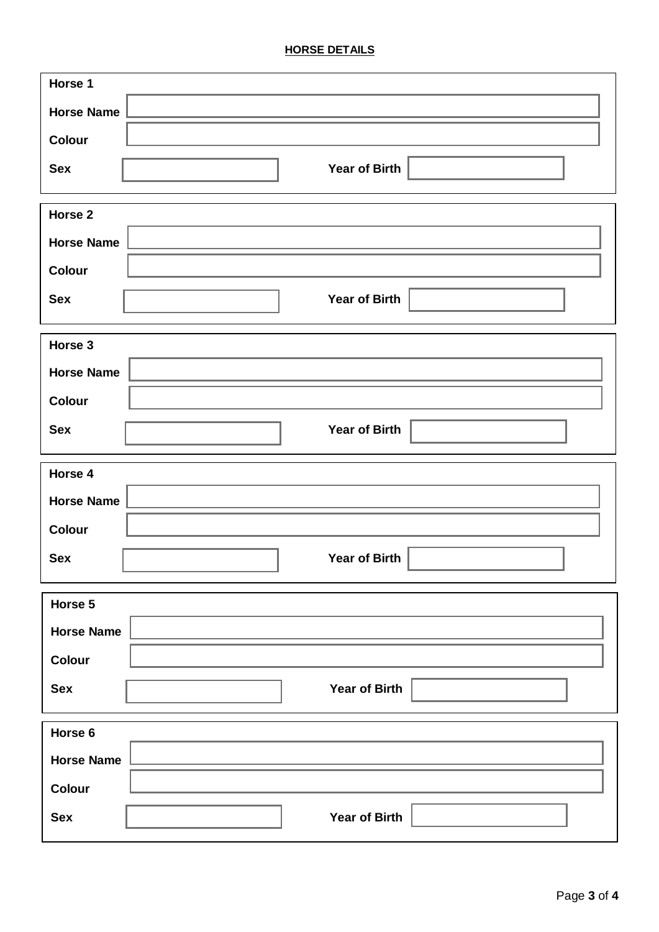# **HORSE DETAILS**

| Horse 1                            |
|------------------------------------|
| <b>Horse Name</b>                  |
| <b>Colour</b>                      |
| <b>Year of Birth</b><br><b>Sex</b> |
| Horse 2                            |
| <b>Horse Name</b>                  |
| <b>Colour</b>                      |
| <b>Year of Birth</b><br><b>Sex</b> |
| Horse 3                            |
| <b>Horse Name</b>                  |
| Colour                             |
| <b>Year of Birth</b><br><b>Sex</b> |
| Horse 4                            |
| <b>Horse Name</b>                  |
| <b>Colour</b>                      |
| <b>Year of Birth</b><br><b>Sex</b> |
| Horse 5                            |
| <b>Horse Name</b>                  |
| Colour                             |
| <b>Year of Birth</b><br><b>Sex</b> |
| Horse 6                            |
| <b>Horse Name</b>                  |
| <b>Colour</b>                      |
| <b>Year of Birth</b><br><b>Sex</b> |